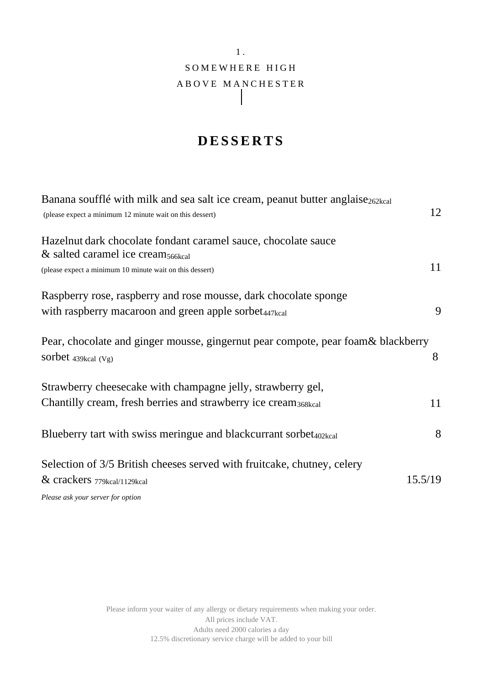## 1 . SOMEWHERE HIGH A B O V E M A N C H E S T E R  $\mathsf{l}$

# **D E S S E R T S**

| Banana soufflé with milk and sea salt ice cream, peanut butter anglaise <sub>262kcal</sub> |         |
|--------------------------------------------------------------------------------------------|---------|
| (please expect a minimum 12 minute wait on this dessert)                                   | 12      |
| Hazelnut dark chocolate fondant caramel sauce, chocolate sauce                             |         |
| $\&$ salted caramel ice cream <sub>566kcal</sub>                                           |         |
| (please expect a minimum 10 minute wait on this dessert)                                   | 11      |
| Raspberry rose, raspberry and rose mousse, dark chocolate sponge                           |         |
| with raspberry macaroon and green apple sorbet <sub>447kcal</sub>                          | 9       |
| Pear, chocolate and ginger mousse, gingernut pear compote, pear foam& blackberry           |         |
| sorbet $439kcal (Vg)$                                                                      | 8       |
| Strawberry cheesecake with champagne jelly, strawberry gel,                                |         |
| Chantilly cream, fresh berries and strawberry ice cream <sub>368kcal</sub>                 | 11      |
| Blueberry tart with swiss meringue and blackcurrant sorbet <sub>402kcal</sub>              | 8       |
| Selection of 3/5 British cheeses served with fruitcake, chutney, celery                    |         |
| & crackers 779kcal/1129kcal                                                                | 15.5/19 |
| Please ask your server for option                                                          |         |

Please inform your waiter of any allergy or dietary requirements when making your order. All prices include VAT. Adults need 2000 calories a day 12.5% discretionary service charge will be added to your bill